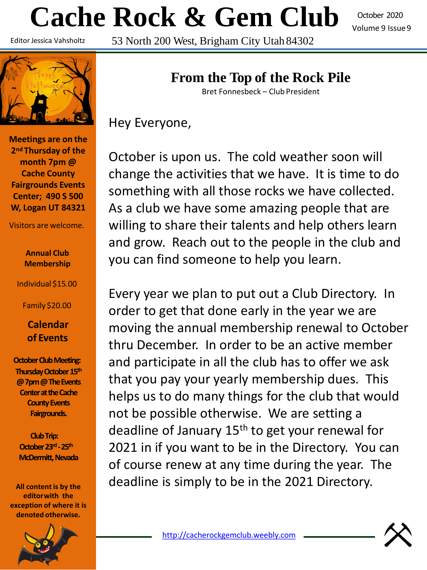# **Cache Rock & Gem Club** 53 North 200 West, Brigham City Utah 84302

October 2020 Volume 9 Issue9

Editor Jessica Vahsholtz



**Meetings are on the 2nd Thursday of the month 7pm @ Cache County Fairgrounds Events Center; 490 S 500 W, Logan UT 84321**

Visitors are welcome.

### **Annual Club Membership**

Individual \$15.00

Family \$20.00

### **Calendar of Events**

**October Club Meeting: Thursday October 15th @ 7pm @ The Events Center at the Cache County Events Fairgrounds.**

**Club Trip: October 23rd -25th McDermitt, Nevada** 

**All content is by the editorwith the exception of where it is denoted otherwise.**



## **From the Top of the Rock Pile**

Bret Fonnesbeck – Club President

Hey Everyone,

October is upon us. The cold weather soon will change the activities that we have. It is time to do something with all those rocks we have collected. As a club we have some amazing people that are willing to share their talents and help others learn and grow. Reach out to the people in the club and you can find someone to help you learn.

Every year we plan to put out a Club Directory. In order to get that done early in the year we are moving the annual membership renewal to October thru December. In order to be an active member and participate in all the club has to offer we ask that you pay your yearly membership dues. This helps us to do many things for the club that would not be possible otherwise. We are setting a deadline of January 15th to get your renewal for 2021 in if you want to be in the Directory. You can of course renew at any time during the year. The deadline is simply to be in the 2021 Directory.

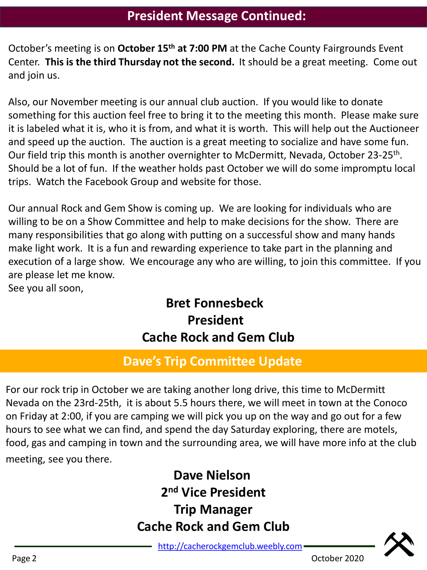October's meeting is on **October 15th at 7:00 PM** at the Cache County Fairgrounds Event Center. **This is the third Thursday not the second.** It should be a great meeting. Come out and join us.

Also, our November meeting is our annual club auction. If you would like to donate something for this auction feel free to bring it to the meeting this month. Please make sure it is labeled what it is, who it is from, and what it is worth. This will help out the Auctioneer and speed up the auction. The auction is a great meeting to socialize and have some fun. Our field trip this month is another overnighter to McDermitt, Nevada, October 23-25<sup>th</sup>. Should be a lot of fun. If the weather holds past October we will do some impromptu local trips. Watch the Facebook Group and website for those.

Our annual Rock and Gem Show is coming up. We are looking for individuals who are willing to be on a Show Committee and help to make decisions for the show. There are many responsibilities that go along with putting on a successful show and many hands make light work. It is a fun and rewarding experience to take part in the planning and execution of a large show. We encourage any who are willing, to join this committee. If you are please let me know.

See you all soon,

# **Bret Fonnesbeck President Cache Rock and Gem Club**

# **Dave's Trip Committee Update**

For our rock trip in October we are taking another long drive, this time to McDermitt Nevada on the 23rd-25th, it is about 5.5 hours there, we will meet in town at the Conoco on Friday at 2:00, if you are camping we will pick you up on the way and go out for a few hours to see what we can find, and spend the day Saturday exploring, there are motels, food, gas and camping in town and the surrounding area, we will have more info at the club meeting, see you there.

# **Dave Nielson 2 nd Vice President Trip Manager Cache Rock and Gem Club**

[http://cacherockgemclub.weebly.com](http://cacherockgemclub.weebly.com/)



Page 2 Contract Contract Contract Contract Contract Contract Contract Contract Contract Contract Contract Contract Contract Contract Contract Contract Contract Contract Contract Contract Contract Contract Contract Contract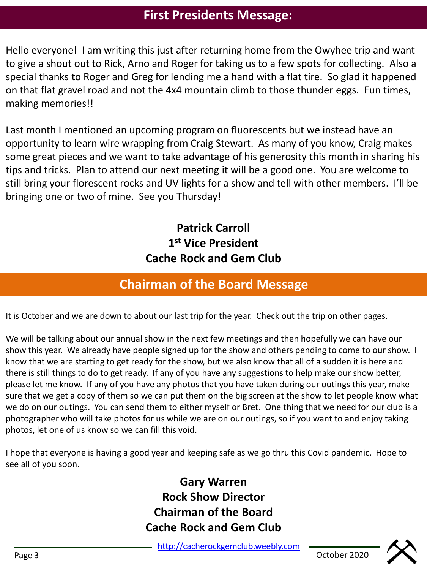## **First Presidents Message:**

Hello everyone! I am writing this just after returning home from the Owyhee trip and want to give a shout out to Rick, Arno and Roger for taking us to a few spots for collecting. Also a special thanks to Roger and Greg for lending me a hand with a flat tire. So glad it happened on that flat gravel road and not the 4x4 mountain climb to those thunder eggs. Fun times, making memories!!

Last month I mentioned an upcoming program on fluorescents but we instead have an opportunity to learn wire wrapping from Craig Stewart. As many of you know, Craig makes some great pieces and we want to take advantage of his generosity this month in sharing his tips and tricks. Plan to attend our next meeting it will be a good one. You are welcome to still bring your florescent rocks and UV lights for a show and tell with other members. I'll be bringing one or two of mine. See you Thursday!

> **Patrick Carroll 1 st Vice President Cache Rock and Gem Club**

## **Chairman of the Board Message**

It is October and we are down to about our last trip for the year. Check out the trip on other pages.

We will be talking about our annual show in the next few meetings and then hopefully we can have our show this year. We already have people signed up for the show and others pending to come to our show. I know that we are starting to get ready for the show, but we also know that all of a sudden it is here and there is still things to do to get ready. If any of you have any suggestions to help make our show better, please let me know. If any of you have any photos that you have taken during our outings this year, make sure that we get a copy of them so we can put them on the big screen at the show to let people know what we do on our outings. You can send them to either myself or Bret. One thing that we need for our club is a photographer who will take photos for us while we are on our outings, so if you want to and enjoy taking photos, let one of us know so we can fill this void.

I hope that everyone is having a good year and keeping safe as we go thru this Covid pandemic. Hope to see all of you soon.

## **Gary Warren Rock Show Director Chairman of the Board Cache Rock and Gem Club**

[http://cacherockgemclub.weebly.com](http://cacherockgemclub.weebly.com/)

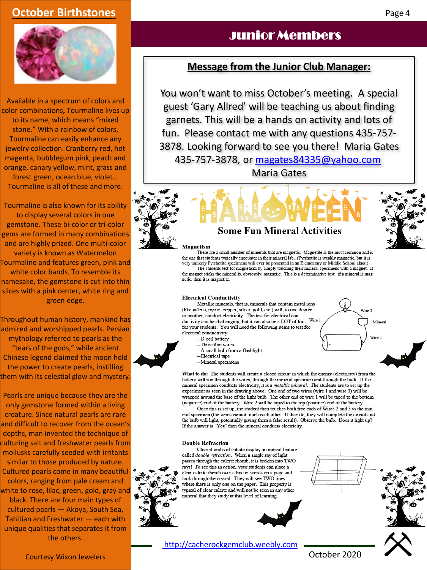### **October Birthstones**



Available in a spectrum of colors and color combinations**,** Tourmaline lives up to its name, which means "mixed stone." With a rainbow of colors, Tourmaline can easily enhance any jewelry collection. Cranberry red, hot magenta, bubblegum pink, peach and orange, canary yellow, mint, grass and forest green, ocean blue, violet… Tourmaline is all of these and more.

Tourmaline is also known for its ability to display several colors in one gemstone. These bi-color or tri-color gems are formed in many combinations and are highly prized. One multi-color variety is known as Watermelon Tourmaline and features green, pink and white color bands. To resemble its namesake, the gemstone is cut into thin slices with a pink center, white ring and green edge.

Throughout human history, mankind has admired and worshipped pearls. Persian mythology referred to pearls as the "tears of the gods," while ancient Chinese legend claimed the moon held the power to create pearls, instilling them with its celestial glow and mystery.

Pearls are unique because they are the only gemstone formed within a living creature. Since natural pearls are rare and difficult to recover from the ocean's depths, man invented the technique of culturing salt and freshwater pearls from mollusks carefully seeded with irritants similar to those produced by nature. Cultured pearls come in many beautiful colors, ranging from pale cream and white to rose, lilac, green, gold, gray and black. There are four main types of cultured pearls — Akoya, South Sea, Tahitian and Freshwater — each with unique qualities that separates it from the others.

## Junior Members

### **Message from the Junior Club Manager:**

You won't want to miss October's meeting. A special guest 'Gary Allred' will be teaching us about finding garnets. This will be a hands on activity and lots of fun. Please contact me with any questions 435-757- 3878. Looking forward to see you there! Maria Gates

435-757-3878, or [magates84335@yahoo.com](mailto:magates84335@yahoo.com)

Maria Gates



#### Magnetism

There are a small number of minerals that are magnetic. Magnetite is the most common and is the one that students typically encounter in their mineral lab. (Pyrrhotite is weakly magnetic, but it is very unlikely Pyrrhotite specimens will ever be presented in an Elementary or Middle School class.) The students test for magnetism by simply touching their mineral specimens with a magnet. If the magnet sticks the mineral is, obviously, magnetic. This is a determinative test: if a mineral is magnetic, then it is magnetite.

#### **Electrical Conductivity**

Metallic minerals, that is, minerals that contain metal ions (like galena, pyrite, copper, silver, gold, etc.) will, to one degree or another, conduct electricity. The test for electrical conductivity can be challenging, but it can also be a LOT of fun Wire 1 for your students. You will need the following items to test for electrical conductivity: -D-cell battery

- --Three thin wires -- A small bulb from a flashlight
- --Electrical tape
- --Mineral specimens

What to do: The students will create a closed circuit in which the energy (electricity) from the battery will run through the wires, through the mineral specimen and through the bulb. If the mineral specimen conducts electricity, it is a metallic mineral. The students are to set up the experiment as seen in the drawing above. One end of two wires (wire 1 and wire 3) will be wrapped around the base of the light bulb. The other end of wire 1 will be taped to the bottom (negative) end of the battery. Wire 2 will be taped to the top (positive) end of the battery.

Once this is set up, the student then touches both free ends of Wires 2 and 3 to the mineral specimen (the wires cannot touch each other. If they do, they will complete the circuit and the bulb will light, potentially giving them a false result). Observe the bulb. Does it light up? If the answer is "Yes" then the mineral conducts electricity.

#### **Double Refraction**

Clear rhombs of calcite display an optical feature called *double refraction*. When a single ray of light passes through the calcite rhomb, it is broken into TWO rays! To see this in action, your students can place a clear calcite rhomb over a line or words on a page and look through the crystal. They will see TWO lines where there is only one on the paper. This property is typical of clear calcite and will not be seen in any other mineral that they study at this level of learning.

[http://cacherockgemclub.weebly.com](http://cacherockgemclub.weebly.com/)



October 2020



Mineral

Wire ?



Page 4

Courtesy Wixon Jewelers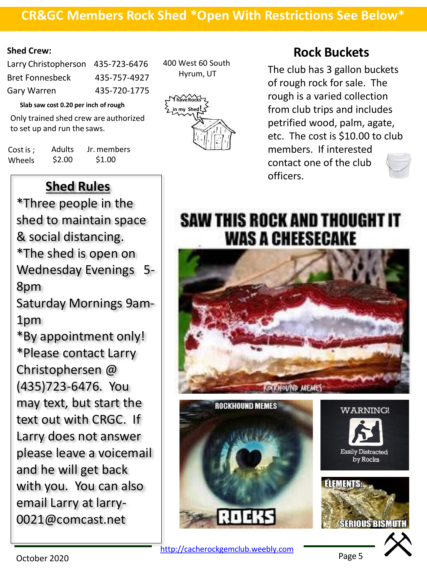### **CR&GC Members Rock Shed \*Open With Restrictions See Below\***

### **Shed Crew:**

| Larry Christopherson 435-723-6476 |
|-----------------------------------|
| 435-757-4927                      |
| 435-720-1775                      |
|                                   |

**Slab saw cost 0.20 per inch ofrough**

Only trained shed crew are authorized to set up and run the saws.

| Cost is ; | <b>Adults</b> | Jr. members |
|-----------|---------------|-------------|
| Wheels    | \$2.00        | \$1.00      |

**Shed Rules**

\*Three people in the shed to maintain space & social distancing. \*The shed is open on Wednesday Evenings 5- 8pm Saturday Mornings 9am-

1pm

\*By appointment only! \*Please contact Larry Christophersen @ (435)723-6476. You may text, but start the text out with CRGC. If Larry does not answer please leave a voicemail and he will get back with you. You can also email Larry at larry-

0021@comcast.net

400 West 60 South Hyrum, UT



## **Rock Buckets**

The club has 3 gallon buckets of rough rock for sale. The rough is a varied collection from club trips and includes petrified wood, palm, agate, etc. The cost is \$10.00 to club members. If interested contact one of the club officers.

# SAW THIS ROCK AND THOUGHT IT **WAS A CHEESECAKE**





October 2020

Page 5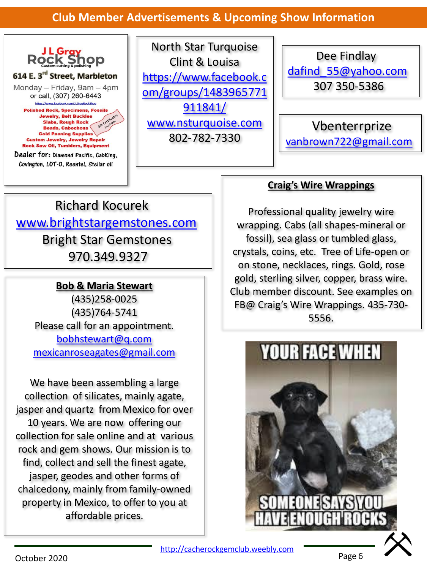### **Club Member Advertisements & Upcoming Show Information**



North Star Turquoise Clint & Louisa https://www.facebook.c [om/groups/1483965771](https://www.facebook.com/groups/1483965771911841/) 911841/ [www.nsturquoise.com](http://www.nsturquoise.com/) 802-782-7330

Dee Findlay [dafind\\_55@yahoo.com](mailto:dafind_55@yahoo.com) 307 350-5386

Vbenterrprize [vanbrown722@gmail.com](mailto:vanbrown722@gmail.com)

# Richard Kocurek [www.brightstargemstones.com](http://www.brightstargemstones.com/) Bright Star Gemstones 970.349.9327

### **Bob & Maria Stewart**

(435)258-0025 (435)764-5741 Please call for an appointment. [bobhstewart@q.com](mailto:bobhstewart@q.com) [mexicanroseagates@gmail.com](mailto:mexicanroseagates@gmail.com)

We have been assembling a large collection of silicates, mainly agate, jasper and quartz from Mexico for over 10 years. We are now offering our collection for sale online and at various rock and gem shows. Our mission is to find, collect and sell the finest agate, jasper, geodes and other forms of chalcedony, mainly from family-owned property in Mexico, to offer to you at affordable prices.

### **Craig's Wire Wrappings**

Professional quality jewelry wire wrapping. Cabs (all shapes-mineral or fossil), sea glass or tumbled glass, crystals, coins, etc. Tree of Life-open or on stone, necklaces, rings. Gold, rose gold, sterling silver, copper, brass wire. Club member discount. See examples on FB@ Craig's Wire Wrappings. 435-730- 5556.



[http://cacherockgemclub.weebly.com](http://cacherockgemclub.weebly.com/)